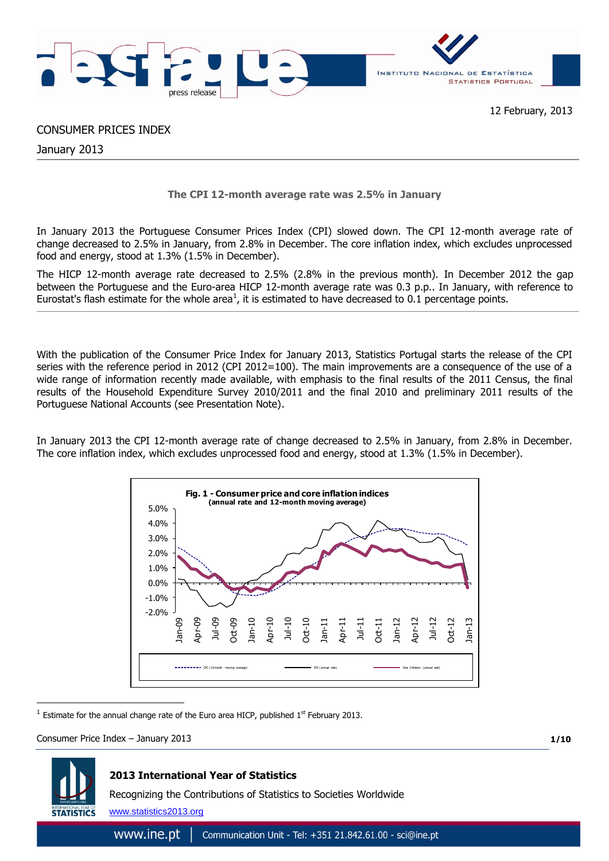

# 12 February, 2013

# CONSUMER PRICES INDEX

January 2013

# **The CPI 12-month average rate was 2.5% in January**

In January 2013 the Portuguese Consumer Prices Index (CPI) slowed down. The CPI 12-month average rate of change decreased to 2.5% in January, from 2.8% in December. The core inflation index, which excludes unprocessed food and energy, stood at 1.3% (1.5% in December).

The HICP 12-month average rate decreased to 2.5% (2.8% in the previous month). In December 2012 the gap between the Portuguese and the Euro-area HICP 12-month average rate was 0.3 p.p.. In January, with reference to Eurostat's flash estimate for the whole area<sup>1</sup>, it is estimated to have decreased to 0.1 percentage points.

With the publication of the Consumer Price Index for January 2013, Statistics Portugal starts the release of the CPI series with the reference period in 2012 (CPI 2012=100). The main improvements are a consequence of the use of a wide range of information recently made available, with emphasis to the final results of the 2011 Census, the final results of the Household Expenditure Survey 2010/2011 and the final 2010 and preliminary 2011 results of the Portuguese National Accounts (see Presentation Note).

In January 2013 the CPI 12-month average rate of change decreased to 2.5% in January, from 2.8% in December. The core inflation index, which excludes unprocessed food and energy, stood at 1.3% (1.5% in December).



<sup>1</sup> Estimate for the annual change rate of the Euro area HICP, published  $1^{st}$  February 2013.

Consumer Price Index – January 2013

**1/10**



1

## **2013 International Year of Statistics**

Recognizing the Contributions of Statistics to Societies Worldwide

www.statistics2013.org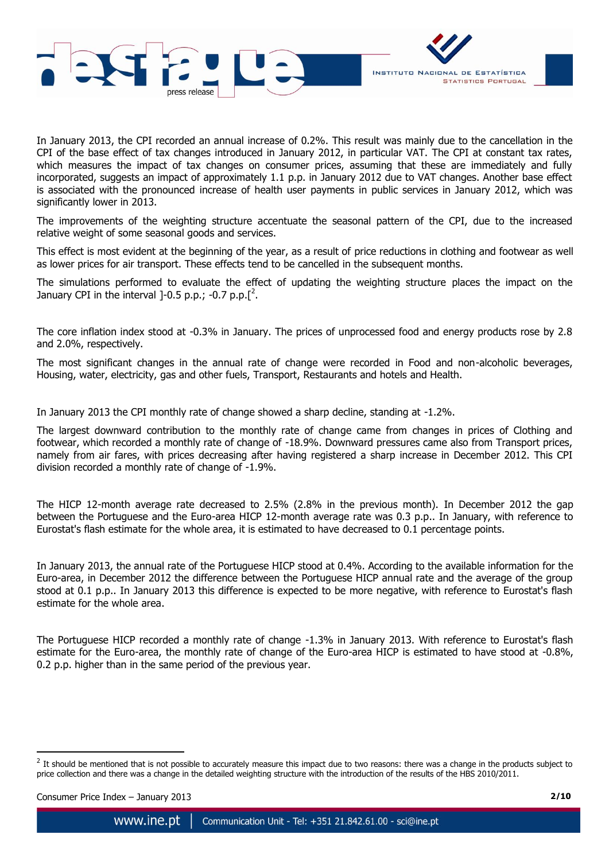

In January 2013, the CPI recorded an annual increase of 0.2%. This result was mainly due to the cancellation in the CPI of the base effect of tax changes introduced in January 2012, in particular VAT. The CPI at constant tax rates, which measures the impact of tax changes on consumer prices, assuming that these are immediately and fully incorporated, suggests an impact of approximately 1.1 p.p. in January 2012 due to VAT changes. Another base effect is associated with the pronounced increase of health user payments in public services in January 2012, which was significantly lower in 2013.

The improvements of the weighting structure accentuate the seasonal pattern of the CPI, due to the increased relative weight of some seasonal goods and services.

This effect is most evident at the beginning of the year, as a result of price reductions in clothing and footwear as well as lower prices for air transport. These effects tend to be cancelled in the subsequent months.

The simulations performed to evaluate the effect of updating the weighting structure places the impact on the January CPI in the interval  $]-0.5$  p.p.;  $-0.7$  p.p. $[^2$ .

The core inflation index stood at -0.3% in January. The prices of unprocessed food and energy products rose by 2.8 and 2.0%, respectively.

The most significant changes in the annual rate of change were recorded in Food and non-alcoholic beverages, Housing, water, electricity, gas and other fuels, Transport, Restaurants and hotels and Health.

In January 2013 the CPI monthly rate of change showed a sharp decline, standing at -1.2%.

The largest downward contribution to the monthly rate of change came from changes in prices of Clothing and footwear, which recorded a monthly rate of change of -18.9%. Downward pressures came also from Transport prices, namely from air fares, with prices decreasing after having registered a sharp increase in December 2012. This CPI division recorded a monthly rate of change of -1.9%.

The HICP 12-month average rate decreased to 2.5% (2.8% in the previous month). In December 2012 the gap between the Portuguese and the Euro-area HICP 12-month average rate was 0.3 p.p.. In January, with reference to Eurostat's flash estimate for the whole area, it is estimated to have decreased to 0.1 percentage points.

In January 2013, the annual rate of the Portuguese HICP stood at 0.4%. According to the available information for the Euro-area, in December 2012 the difference between the Portuguese HICP annual rate and the average of the group stood at 0.1 p.p.. In January 2013 this difference is expected to be more negative, with reference to Eurostat's flash estimate for the whole area.

The Portuguese HICP recorded a monthly rate of change -1.3% in January 2013. With reference to Eurostat's flash estimate for the Euro-area, the monthly rate of change of the Euro-area HICP is estimated to have stood at -0.8%, 0.2 p.p. higher than in the same period of the previous year.

1

<sup>2</sup> It should be mentioned that is not possible to accurately measure this impact due to two reasons: there was a change in the products subject to price collection and there was a change in the detailed weighting structure with the introduction of the results of the HBS 2010/2011.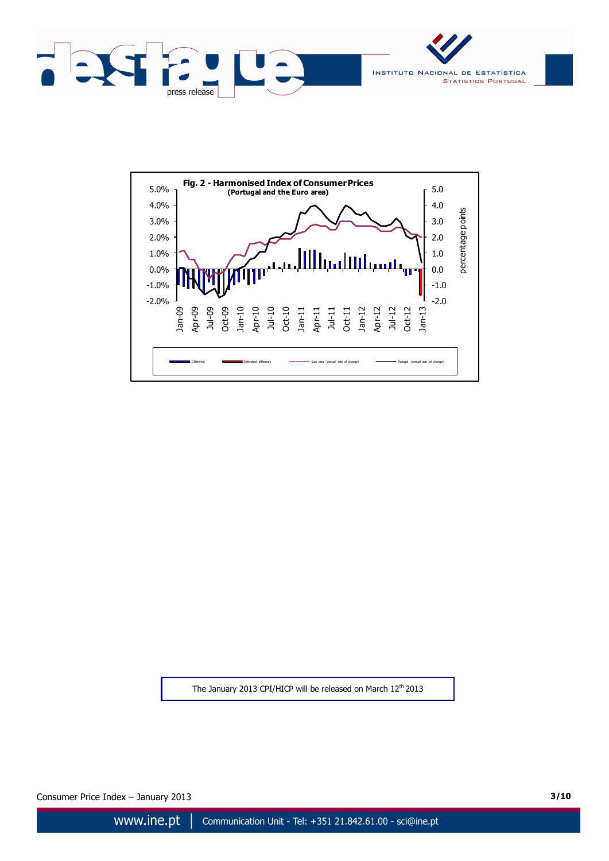





The January 2013 CPI/HICP will be released on March 12<sup>th</sup> 2013

Consumer Price Index – January 2013 **3/10**

www.ine.pt Communication Unit - Tel: +351 21.842.61.00 - sci@ine.pt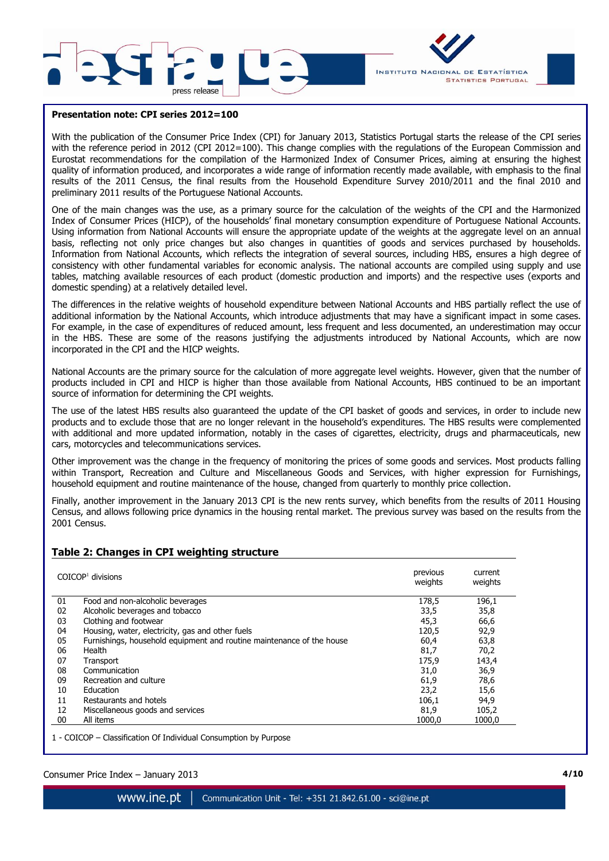



#### **Presentation note: CPI series 2012=100**

With the publication of the Consumer Price Index (CPI) for January 2013, Statistics Portugal starts the release of the CPI series with the reference period in 2012 (CPI 2012=100). This change complies with the regulations of the European Commission and Eurostat recommendations for the compilation of the Harmonized Index of Consumer Prices, aiming at ensuring the highest quality of information produced, and incorporates a wide range of information recently made available, with emphasis to the final results of the 2011 Census, the final results from the Household Expenditure Survey 2010/2011 and the final 2010 and preliminary 2011 results of the Portuguese National Accounts.

One of the main changes was the use, as a primary source for the calculation of the weights of the CPI and the Harmonized Index of Consumer Prices (HICP), of the households' final monetary consumption expenditure of Portuguese National Accounts. Using information from National Accounts will ensure the appropriate update of the weights at the aggregate level on an annual basis, reflecting not only price changes but also changes in quantities of goods and services purchased by households. Information from National Accounts, which reflects the integration of several sources, including HBS, ensures a high degree of consistency with other fundamental variables for economic analysis. The national accounts are compiled using supply and use tables, matching available resources of each product (domestic production and imports) and the respective uses (exports and domestic spending) at a relatively detailed level.

The differences in the relative weights of household expenditure between National Accounts and HBS partially reflect the use of additional information by the National Accounts, which introduce adjustments that may have a significant impact in some cases. For example, in the case of expenditures of reduced amount, less frequent and less documented, an underestimation may occur in the HBS. These are some of the reasons justifying the adjustments introduced by National Accounts, which are now incorporated in the CPI and the HICP weights.

National Accounts are the primary source for the calculation of more aggregate level weights. However, given that the number of products included in CPI and HICP is higher than those available from National Accounts, HBS continued to be an important source of information for determining the CPI weights.

The use of the latest HBS results also guaranteed the update of the CPI basket of goods and services, in order to include new products and to exclude those that are no longer relevant in the household's expenditures. The HBS results were complemented with additional and more updated information, notably in the cases of cigarettes, electricity, drugs and pharmaceuticals, new cars, motorcycles and telecommunications services.

Other improvement was the change in the frequency of monitoring the prices of some goods and services. Most products falling within Transport, Recreation and Culture and Miscellaneous Goods and Services, with higher expression for Furnishings, household equipment and routine maintenance of the house, changed from quarterly to monthly price collection.

Finally, another improvement in the January 2013 CPI is the new rents survey, which benefits from the results of 2011 Housing Census, and allows following price dynamics in the housing rental market. The previous survey was based on the results from the 2001 Census.

## **Table 2: Changes in CPI weighting structure**

|    | $COICOP1$ divisions                                                   | previous<br>weights | current<br>weights |
|----|-----------------------------------------------------------------------|---------------------|--------------------|
| 01 | Food and non-alcoholic beverages                                      | 178,5               | 196,1              |
| 02 | Alcoholic beverages and tobacco                                       | 33,5                | 35,8               |
| 03 | Clothing and footwear                                                 | 45,3                | 66,6               |
| 04 | Housing, water, electricity, gas and other fuels                      | 120,5               | 92,9               |
| 05 | Furnishings, household equipment and routine maintenance of the house | 60,4                | 63,8               |
| 06 | Health                                                                | 81,7                | 70,2               |
| 07 | Transport                                                             | 175,9               | 143,4              |
| 08 | Communication                                                         | 31,0                | 36,9               |
| 09 | Recreation and culture                                                | 61,9                | 78,6               |
| 10 | Education                                                             | 23,2                | 15,6               |
| 11 | Restaurants and hotels                                                | 106,1               | 94,9               |
| 12 | Miscellaneous goods and services                                      | 81,9                | 105,2              |
| 00 | All items                                                             | 1000.0              | 1000.0             |
|    |                                                                       |                     |                    |

1 - COICOP – Classification Of Individual Consumption by Purpose

## Consumer Price Index – January 2013 **4/10 4/10**

www.ine.pt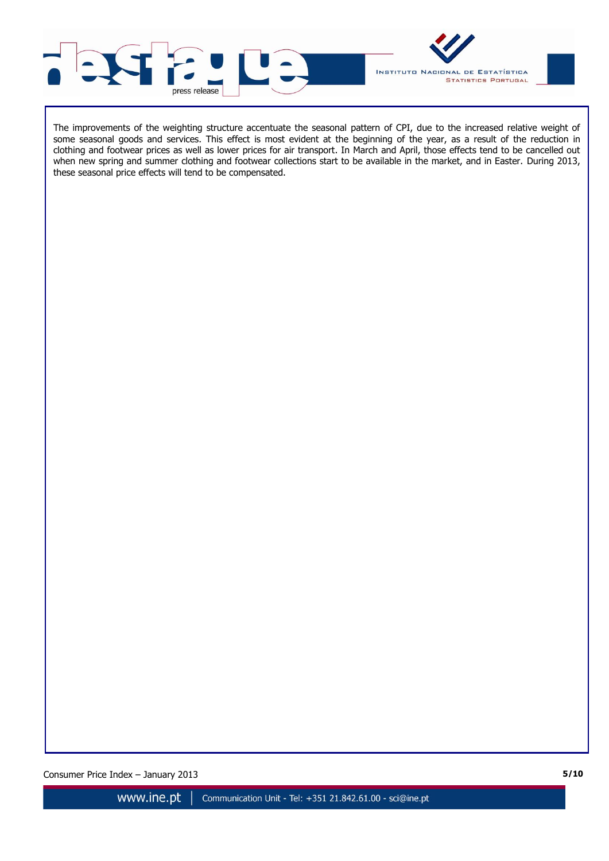



The improvements of the weighting structure accentuate the seasonal pattern of CPI, due to the increased relative weight of some seasonal goods and services. This effect is most evident at the beginning of the year, as a result of the reduction in clothing and footwear prices as well as lower prices for air transport. In March and April, those effects tend to be cancelled out when new spring and summer clothing and footwear collections start to be available in the market, and in Easter. During 2013, these seasonal price effects will tend to be compensated.

Consumer Price Index – January 2013 **5/10 5/10**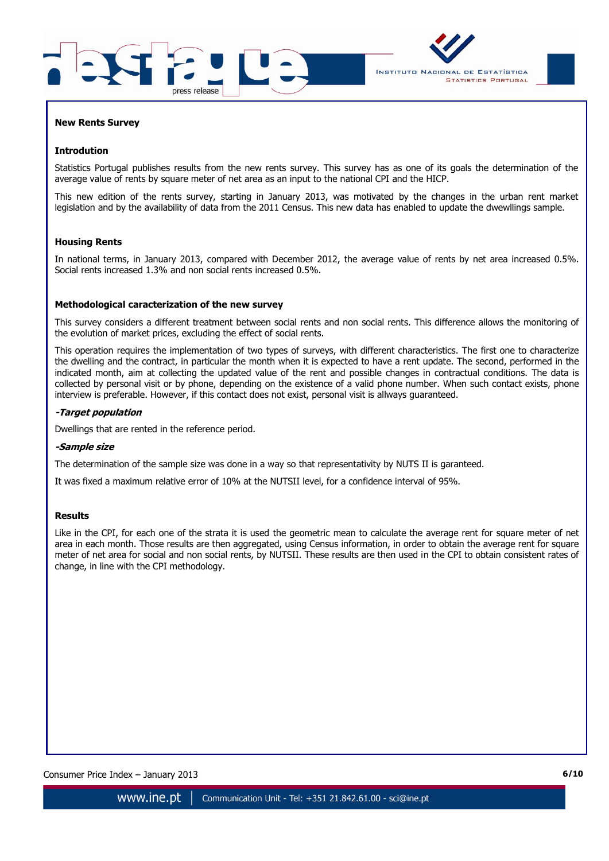



#### **New Rents Survey**

#### **Introdution**

Statistics Portugal publishes results from the new rents survey. This survey has as one of its goals the determination of the average value of rents by square meter of net area as an input to the national CPI and the HICP.

This new edition of the rents survey, starting in January 2013, was motivated by the changes in the urban rent market legislation and by the availability of data from the 2011 Census. This new data has enabled to update the dwewllings sample.

## **Housing Rents**

In national terms, in January 2013, compared with December 2012, the average value of rents by net area increased 0.5%. Social rents increased 1.3% and non social rents increased 0.5%.

#### **Methodological caracterization of the new survey**

This survey considers a different treatment between social rents and non social rents. This difference allows the monitoring of the evolution of market prices, excluding the effect of social rents.

This operation requires the implementation of two types of surveys, with different characteristics. The first one to characterize the dwelling and the contract, in particular the month when it is expected to have a rent update. The second, performed in the indicated month, aim at collecting the updated value of the rent and possible changes in contractual conditions. The data is collected by personal visit or by phone, depending on the existence of a valid phone number. When such contact exists, phone interview is preferable. However, if this contact does not exist, personal visit is allways guaranteed.

### **-Target population**

Dwellings that are rented in the reference period.

#### **-Sample size**

The determination of the sample size was done in a way so that representativity by NUTS II is garanteed.

It was fixed a maximum relative error of 10% at the NUTSII level, for a confidence interval of 95%.

#### **Results**

Like in the CPI, for each one of the strata it is used the geometric mean to calculate the average rent for square meter of net area in each month. Those results are then aggregated, using Census information, in order to obtain the average rent for square meter of net area for social and non social rents, by NUTSII. These results are then used in the CPI to obtain consistent rates of change, in line with the CPI methodology.

Consumer Price Index – January 2013 **6/10 6/10**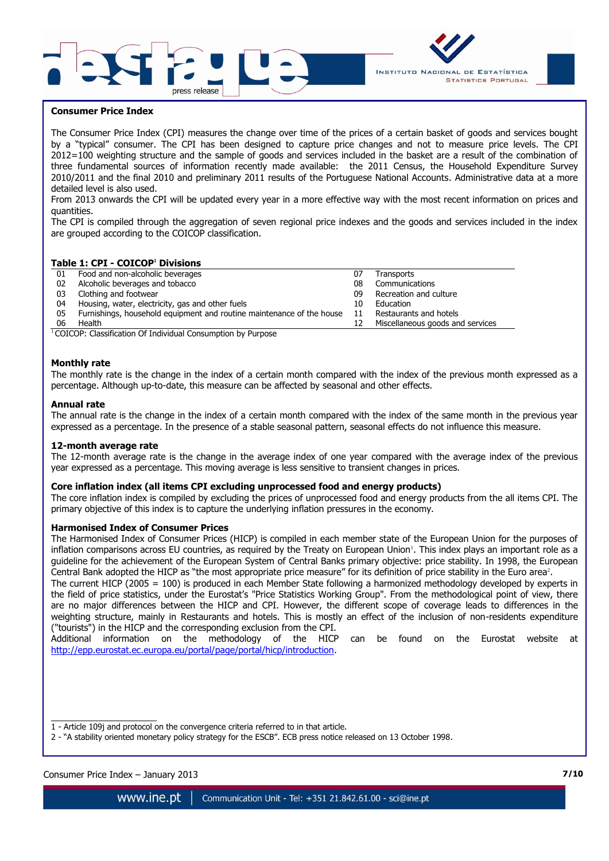



#### **Consumer Price Index**

The Consumer Price Index (CPI) measures the change over time of the prices of a certain basket of goods and services bought by a "typical" consumer. The CPI has been designed to capture price changes and not to measure price levels. The CPI 2012=100 weighting structure and the sample of goods and services included in the basket are a result of the combination of three fundamental sources of information recently made available: the 2011 Census, the Household Expenditure Survey 2010/2011 and the final 2010 and preliminary 2011 results of the Portuguese National Accounts. Administrative data at a more detailed level is also used.

From 2013 onwards the CPI will be updated every year in a more effective way with the most recent information on prices and quantities.

The CPI is compiled through the aggregation of seven regional price indexes and the goods and services included in the index are grouped according to the COICOP classification.

## **Table 1: CPI - COICOP<sup>1</sup> Divisions**

| 01 | Food and non-alcoholic beverages                                      |    | Transports                       |
|----|-----------------------------------------------------------------------|----|----------------------------------|
| 02 | Alcoholic beverages and tobacco                                       | 08 | Communications                   |
| 03 | Clothing and footwear                                                 | 09 | Recreation and culture           |
| 04 | Housing, water, electricity, gas and other fuels                      | 10 | Education                        |
| 05 | Furnishings, household equipment and routine maintenance of the house |    | Restaurants and hotels           |
| 06 | Health                                                                |    | Miscellaneous goods and services |

 $1$ COICOP: Classification Of Individual Consumption by Purpose

#### **Monthly rate**

The monthly rate is the change in the index of a certain month compared with the index of the previous month expressed as a percentage. Although up-to-date, this measure can be affected by seasonal and other effects.

#### **Annual rate**

The annual rate is the change in the index of a certain month compared with the index of the same month in the previous year expressed as a percentage. In the presence of a stable seasonal pattern, seasonal effects do not influence this measure.

#### **12-month average rate**

The 12-month average rate is the change in the average index of one year compared with the average index of the previous year expressed as a percentage. This moving average is less sensitive to transient changes in prices.

#### **Core inflation index (all items CPI excluding unprocessed food and energy products)**

The core inflation index is compiled by excluding the prices of unprocessed food and energy products from the all items CPI. The primary objective of this index is to capture the underlying inflation pressures in the economy.

### **Harmonised Index of Consumer Prices**

The Harmonised Index of Consumer Prices (HICP) is compiled in each member state of the European Union for the purposes of inflation comparisons across EU countries, as required by the Treaty on European Union<sup>1</sup>. This index plays an important role as a guideline for the achievement of the European System of Central Banks primary objective: price stability. In 1998, the European Central Bank adopted the HICP as "the most appropriate price measure" for its definition of price stability in the Euro area<sup>2</sup>.

The current HICP (2005 = 100) is produced in each Member State following a harmonized methodology developed by experts in the field of price statistics, under the Eurostat's "Price Statistics Working Group". From the methodological point of view, there are no major differences between the HICP and CPI. However, the different scope of coverage leads to differences in the weighting structure, mainly in Restaurants and hotels. This is mostly an effect of the inclusion of non-residents expenditure ("tourists") in the HICP and the corresponding exclusion from the CPI.

Additional information on the methodology of the HICP can be found on the Eurostat website at [http://epp.eurostat.ec.europa.eu/portal/page/portal/hicp/introduction.](http://epp.eurostat.ec.europa.eu/portal/page/portal/hicp/introduction)

Consumer Price Index – January 2013 **7/10 7/10**

 $\overline{\phantom{a}}$  , where the contract of the contract of the contract of the contract of the contract of the contract of the contract of the contract of the contract of the contract of the contract of the contract of the contr

www.ine.pt Communication Unit - Tel: +351 21.842.61.00 - sci@ine.pt

<sup>1 -</sup> Article 109j and protocol on the convergence criteria referred to in that article.

<sup>2 -</sup> "A stability oriented monetary policy strategy for the ESCB". ECB press notice released on 13 October 1998.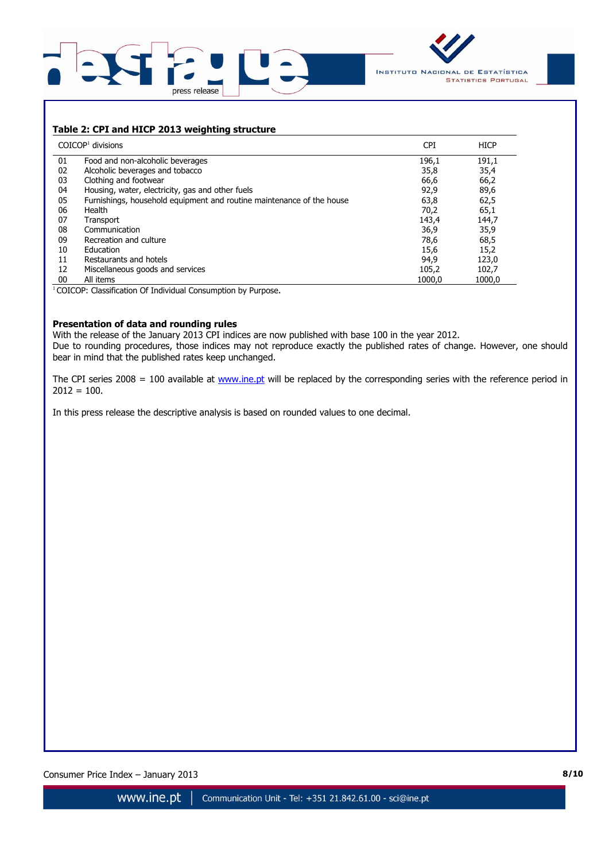



# **Table 2: CPI and HICP 2013 weighting structure**

|    | $COICOP1$ divisions                                                   | <b>CPI</b> | <b>HICP</b> |
|----|-----------------------------------------------------------------------|------------|-------------|
| 01 | Food and non-alcoholic beverages                                      | 196,1      | 191,1       |
| 02 | Alcoholic beverages and tobacco                                       | 35,8       | 35,4        |
| 03 | Clothing and footwear                                                 | 66,6       | 66,2        |
| 04 | Housing, water, electricity, gas and other fuels                      | 92,9       | 89,6        |
| 05 | Furnishings, household equipment and routine maintenance of the house | 63,8       | 62,5        |
| 06 | Health                                                                | 70,2       | 65,1        |
| 07 | Transport                                                             | 143,4      | 144,7       |
| 08 | Communication                                                         | 36,9       | 35,9        |
| 09 | Recreation and culture                                                | 78,6       | 68,5        |
| 10 | Education                                                             | 15,6       | 15,2        |
| 11 | Restaurants and hotels                                                | 94,9       | 123,0       |
| 12 | Miscellaneous goods and services                                      | 105,2      | 102,7       |
| 00 | All items                                                             | 1000.0     | 1000.0      |

<sup>1</sup> COICOP: Classification Of Individual Consumption by Purpose.

## **Presentation of data and rounding rules**

With the release of the January 2013 CPI indices are now published with base 100 in the year 2012. Due to rounding procedures, those indices may not reproduce exactly the published rates of change. However, one should bear in mind that the published rates keep unchanged.

The CPI series 2008 = 100 available at  $www.ine.pt$  will be replaced by the corresponding series with the reference period in  $2012 = 100.$ 

In this press release the descriptive analysis is based on rounded values to one decimal.

Consumer Price Index – January 2013 **8/10 8/10**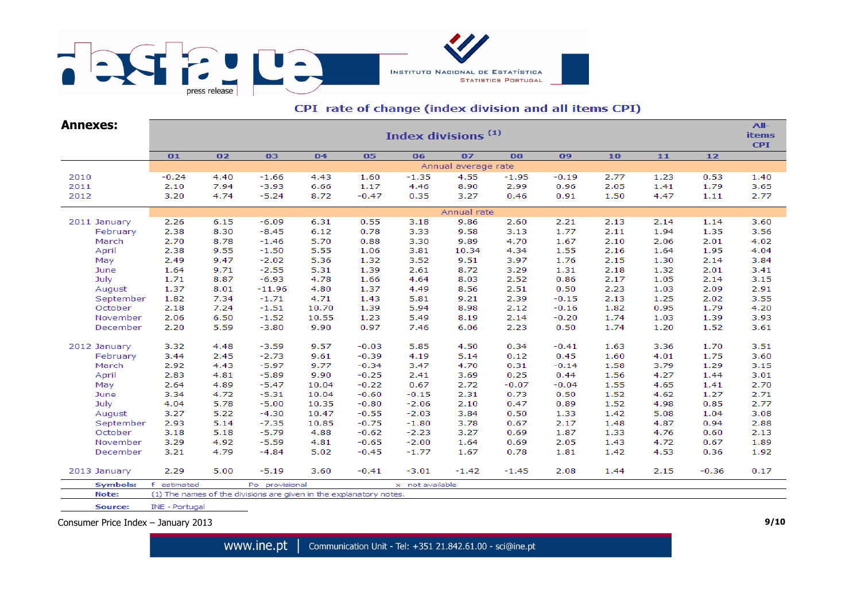

# CPI rate of change (index division and all items CPI)

| <b>Annexes:</b> | Index divisions <sup>(1)</sup>                                                              |      |                                                                    |       |         |                 |         |         |         |      |      |         |      |  |  |
|-----------------|---------------------------------------------------------------------------------------------|------|--------------------------------------------------------------------|-------|---------|-----------------|---------|---------|---------|------|------|---------|------|--|--|
|                 | 07<br>01<br>02<br>03<br>04<br>05<br>06<br>08<br>09<br>10<br>11<br>12<br>Annual average rate |      |                                                                    |       |         |                 |         |         |         |      |      |         |      |  |  |
|                 |                                                                                             |      |                                                                    |       |         |                 |         |         |         |      |      |         |      |  |  |
| 2010            | $-0.24$                                                                                     | 4.40 | $-1.66$                                                            | 4.43  | 1.60    | $-1.35$         | 4.55    | $-1.95$ | $-0.19$ | 2.77 | 1.23 | 0.53    | 1.40 |  |  |
| 2011            | 2.10                                                                                        | 7.94 | $-3.93$                                                            | 6.66  | 1.17    | 4.46            | 8.90    | 2.99    | 0.96    | 2.05 | 1.41 | 1.79    | 3.65 |  |  |
| 2012            | 3.20                                                                                        | 4.74 | $-5.24$                                                            | 8.72  | $-0.47$ | 0.35            | 3.27    | 0.46    | 0.91    | 1.50 | 4.47 | 1.11    | 2.77 |  |  |
|                 | Annual rate                                                                                 |      |                                                                    |       |         |                 |         |         |         |      |      |         |      |  |  |
| 2011 January    | 2.26                                                                                        | 6.15 | $-6.09$                                                            | 6.31  | 0.55    | 3.18            | 9.86    | 2.60    | 2.21    | 2.13 | 2.14 | 1.14    | 3.60 |  |  |
| February        | 2.38                                                                                        | 8.30 | $-8.45$                                                            | 6.12  | 0.78    | 3.33            | 9.58    | 3.13    | 1.77    | 2.11 | 1.94 | 1.35    | 3.56 |  |  |
| March           | 2.70                                                                                        | 8.78 | $-1.46$                                                            | 5.70  | 0.88    | 3.30            | 9.89    | 4.70    | 1.67    | 2.10 | 2.06 | 2.01    | 4.02 |  |  |
| April           | 2.38                                                                                        | 9.55 | $-1.50$                                                            | 5.55  | 1.06    | 3.81            | 10.34   | 4.34    | 1.55    | 2.16 | 1.64 | 1.95    | 4.04 |  |  |
| May             | 2.49                                                                                        | 9.47 | $-2.02$                                                            | 5.36  | 1.32    | 3.52            | 9.51    | 3.97    | 1.76    | 2.15 | 1.30 | 2.14    | 3.84 |  |  |
| June            | 1.64                                                                                        | 9.71 | $-2.55$                                                            | 5.31  | 1.39    | 2.61            | 8.72    | 3.29    | 1.31    | 2.18 | 1.32 | 2.01    | 3.41 |  |  |
| July            | 1.71                                                                                        | 8.87 | $-6.93$                                                            | 4.78  | 1.66    | 4.64            | 8.03    | 2.52    | 0.86    | 2.17 | 1.05 | 2.14    | 3.15 |  |  |
| August          | 1.37                                                                                        | 8.01 | $-11.96$                                                           | 4.80  | 1.37    | 4.49            | 8.56    | 2.51    | 0.50    | 2.23 | 1.03 | 2.09    | 2.91 |  |  |
| September       | 1.82                                                                                        | 7.34 | $-1.71$                                                            | 4.71  | 1.43    | 5.81            | 9.21    | 2.39    | $-0.15$ | 2.13 | 1.25 | 2.02    | 3.55 |  |  |
| October         | 2.18                                                                                        | 7.24 | $-1.51$                                                            | 10.70 | 1.39    | 5.94            | 8.98    | 2.12    | $-0.16$ | 1.82 | 0.95 | 1.79    | 4.20 |  |  |
| November        | 2.06                                                                                        | 6.50 | $-1.52$                                                            | 10.55 | 1.23    | 5.49            | 8.19    | 2.14    | $-0.20$ | 1.74 | 1.03 | 1.39    | 3.93 |  |  |
| December        | 2.20                                                                                        | 5.59 | $-3.80$                                                            | 9.90  | 0.97    | 7.46            | 6.06    | 2.23    | 0.50    | 1.74 | 1.20 | 1.52    | 3.61 |  |  |
| 2012 January    | 3.32                                                                                        | 4.48 | $-3.59$                                                            | 9.57  | $-0.03$ | 5.85            | 4.50    | 0.34    | $-0.41$ | 1.63 | 3.36 | 1.70    | 3.51 |  |  |
| February        | 3.44                                                                                        | 2.45 | $-2.73$                                                            | 9.61  | $-0.39$ | 4.19            | 5.14    | 0.12    | 0.45    | 1.60 | 4.01 | 1.75    | 3.60 |  |  |
| March           | 2.92                                                                                        | 4.43 | $-5.97$                                                            | 9.77  | $-0.34$ | 3.47            | 4.70    | 0.31    | $-0.14$ | 1.58 | 3.79 | 1.29    | 3.15 |  |  |
| April           | 2.83                                                                                        | 4.81 | $-5.89$                                                            | 9.90  | $-0.25$ | 2.41            | 3.69    | 0.25    | 0.44    | 1.56 | 4.27 | 1.44    | 3.01 |  |  |
| May             | 2.64                                                                                        | 4.89 | $-5.47$                                                            | 10.04 | $-0.22$ | 0.67            | 2.72    | $-0.07$ | $-0.04$ | 1.55 | 4.65 | 1.41    | 2.70 |  |  |
| June            | 3.34                                                                                        | 4.72 | $-5.31$                                                            | 10.04 | $-0.60$ | $-0.15$         | 2.31    | 0.73    | 0.50    | 1.52 | 4.62 | 1.27    | 2.71 |  |  |
| July            | 4.04                                                                                        | 5.78 | $-5.00$                                                            | 10.35 | $-0.80$ | $-2.06$         | 2.10    | 0.47    | 0.89    | 1.52 | 4.98 | 0.85    | 2.77 |  |  |
| August          | 3.27                                                                                        | 5.22 | $-4.30$                                                            | 10.47 | $-0.55$ | $-2.03$         | 3.84    | 0.50    | 1.33    | 1.42 | 5.08 | 1.04    | 3.08 |  |  |
| September       | 2.93                                                                                        | 5.14 | $-7.35$                                                            | 10.85 | $-0.75$ | $-1.80$         | 3.78    | 0.67    | 2.17    | 1.48 | 4.87 | 0.94    | 2.88 |  |  |
| October         | 3.18                                                                                        | 5.18 | $-5.79$                                                            | 4.88  | $-0.62$ | $-2.23$         | 3.27    | 0.69    | 1.87    | 1.33 | 4.76 | 0.60    | 2.13 |  |  |
| November        | 3.29                                                                                        | 4.92 | $-5.59$                                                            | 4.81  | $-0.65$ | $-2.00$         | 1.64    | 0.69    | 2.05    | 1.43 | 4.72 | 0.67    | 1.89 |  |  |
| December        | 3.21                                                                                        | 4.79 | $-4.84$                                                            | 5.02  | $-0.45$ | $-1.77$         | 1.67    | 0.78    | 1.81    | 1.42 | 4.53 | 0.36    | 1.92 |  |  |
| 2013 January    | 2.29                                                                                        | 5.00 | $-5.19$                                                            | 3.60  | $-0.41$ | $-3.01$         | $-1.42$ | $-1.45$ | 2.08    | 1.44 | 2.15 | $-0.36$ | 0.17 |  |  |
| <b>Symbols:</b> | f<br>estimated                                                                              |      | Po provisional                                                     |       |         | x not available |         |         |         |      |      |         |      |  |  |
| Note:           |                                                                                             |      | (1) The names of the divisions are given in the explanatory notes. |       |         |                 |         |         |         |      |      |         |      |  |  |
| Source:         | INE - Portugal                                                                              |      |                                                                    |       |         |                 |         |         |         |      |      |         |      |  |  |

Consumer Price Index – January 2013 **9/10**

www.ine.pt Communication Unit - Tel: +351 21.842.61.00 - sci@ine.pt